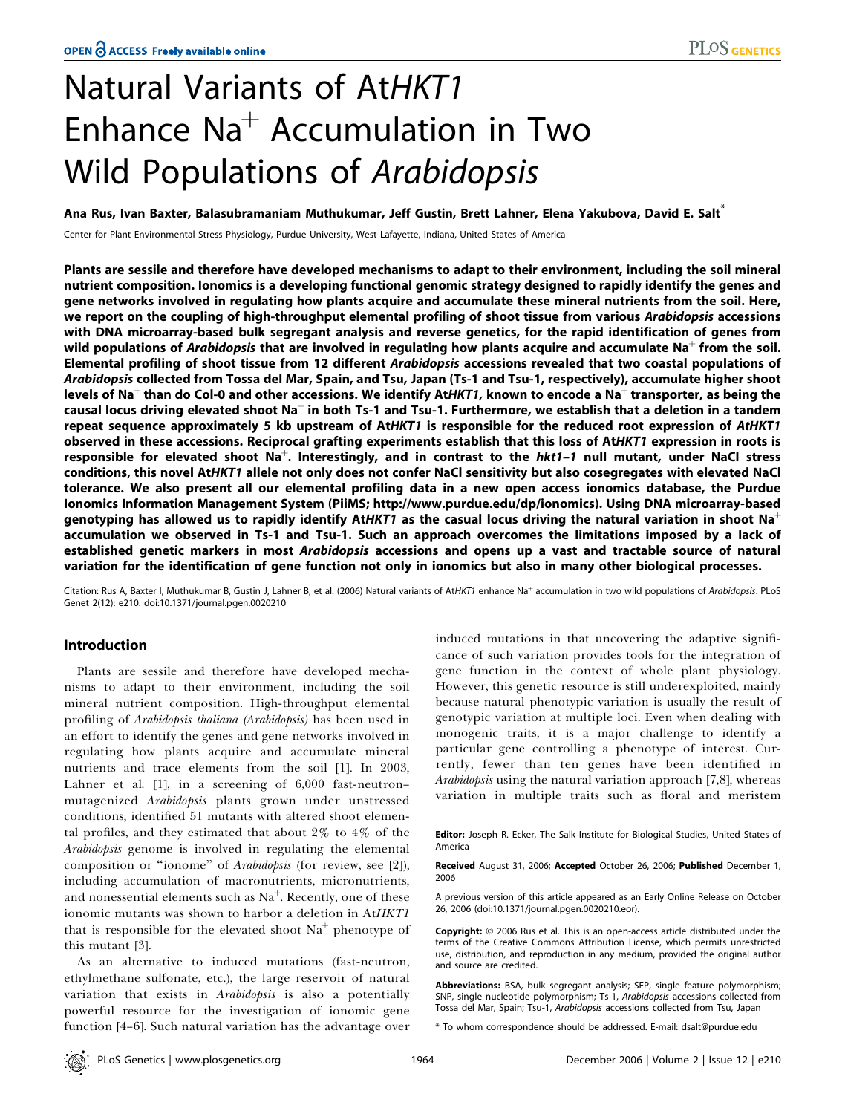# Natural Variants of AtHKT1 Enhance  $Na<sup>+</sup>$  Accumulation in Two Wild Populations of Arabidopsis

Ana Rus, Ivan Baxter, Balasubramaniam Muthukumar, Jeff Gustin, Brett Lahner, Elena Yakubova, David E. Salt\*

Center for Plant Environmental Stress Physiology, Purdue University, West Lafayette, Indiana, United States of America

Plants are sessile and therefore have developed mechanisms to adapt to their environment, including the soil mineral nutrient composition. Ionomics is a developing functional genomic strategy designed to rapidly identify the genes and gene networks involved in regulating how plants acquire and accumulate these mineral nutrients from the soil. Here, we report on the coupling of high-throughput elemental profiling of shoot tissue from various Arabidopsis accessions with DNA microarray-based bulk segregant analysis and reverse genetics, for the rapid identification of genes from wild populations of Arabidopsis that are involved in regulating how plants acquire and accumulate Na<sup>+</sup> from the soil. Elemental profiling of shoot tissue from 12 different Arabidopsis accessions revealed that two coastal populations of Arabidopsis collected from Tossa del Mar, Spain, and Tsu, Japan (Ts-1 and Tsu-1, respectively), accumulate higher shoot levels of Na<sup>+</sup> than do Col-0 and other accessions. We identify AtHKT1, known to encode a Na<sup>+</sup> transporter, as being the causal locus driving elevated shoot Na<sup>+</sup> in both Ts-1 and Tsu-1. Furthermore, we establish that a deletion in a tandem repeat sequence approximately 5 kb upstream of AtHKT1 is responsible for the reduced root expression of AtHKT1 observed in these accessions. Reciprocal grafting experiments establish that this loss of AtHKT1 expression in roots is responsible for elevated shoot  $Na^+$ . Interestingly, and in contrast to the  $hkt1-1$  null mutant, under NaCl stress conditions, this novel AtHKT1 allele not only does not confer NaCl sensitivity but also cosegregates with elevated NaCl tolerance. We also present all our elemental profiling data in a new open access ionomics database, the Purdue Ionomics Information Management System (PiiMS; http://www.purdue.edu/dp/ionomics). Using DNA microarray-based genotyping has allowed us to rapidly identify AtHKT1 as the casual locus driving the natural variation in shoot Na<sup>+</sup> accumulation we observed in Ts-1 and Tsu-1. Such an approach overcomes the limitations imposed by a lack of established genetic markers in most Arabidopsis accessions and opens up a vast and tractable source of natural variation for the identification of gene function not only in ionomics but also in many other biological processes.

Citation: Rus A, Baxter I, Muthukumar B, Gustin J, Lahner B, et al. (2006) Natural variants of AtHKT1 enhance Na<sup>+</sup> accumulation in two wild populations of Arabidopsis. PLoS Genet 2(12): e210. doi:10.1371/journal.pgen.0020210

# Introduction

Plants are sessile and therefore have developed mechanisms to adapt to their environment, including the soil mineral nutrient composition. High-throughput elemental profiling of Arabidopsis thaliana (Arabidopsis) has been used in an effort to identify the genes and gene networks involved in regulating how plants acquire and accumulate mineral nutrients and trace elements from the soil [1]. In 2003, Lahner et al. [1], in a screening of 6,000 fast-neutron– mutagenized Arabidopsis plants grown under unstressed conditions, identified 51 mutants with altered shoot elemental profiles, and they estimated that about 2% to 4% of the Arabidopsis genome is involved in regulating the elemental composition or ''ionome'' of Arabidopsis (for review, see [2]), including accumulation of macronutrients, micronutrients, and nonessential elements such as  $\mathrm{Na}^+$ . Recently, one of these ionomic mutants was shown to harbor a deletion in AtHKT1 that is responsible for the elevated shoot  $Na<sup>+</sup>$  phenotype of this mutant [3].

As an alternative to induced mutations (fast-neutron, ethylmethane sulfonate, etc.), the large reservoir of natural variation that exists in *Arabidopsis* is also a potentially powerful resource for the investigation of ionomic gene function [4–6]. Such natural variation has the advantage over

induced mutations in that uncovering the adaptive significance of such variation provides tools for the integration of gene function in the context of whole plant physiology. However, this genetic resource is still underexploited, mainly because natural phenotypic variation is usually the result of genotypic variation at multiple loci. Even when dealing with monogenic traits, it is a major challenge to identify a particular gene controlling a phenotype of interest. Currently, fewer than ten genes have been identified in Arabidopsis using the natural variation approach [7,8], whereas variation in multiple traits such as floral and meristem

Editor: Joseph R. Ecker, The Salk Institute for Biological Studies, United States of America

Received August 31, 2006; Accepted October 26, 2006; Published December 1, 2006

A previous version of this article appeared as an Early Online Release on October 26, 2006 (doi:10.1371/journal.pgen.0020210.eor).

Copyright:  $\circ$  2006 Rus et al. This is an open-access article distributed under the terms of the Creative Commons Attribution License, which permits unrestricted use, distribution, and reproduction in any medium, provided the original author and source are credited.

Abbreviations: BSA, bulk segregant analysis; SFP, single feature polymorphism; SNP, single nucleotide polymorphism; Ts-1, Arabidopsis accessions collected from Tossa del Mar, Spain; Tsu-1, Arabidopsis accessions collected from Tsu, Japan

\* To whom correspondence should be addressed. E-mail: dsalt@purdue.edu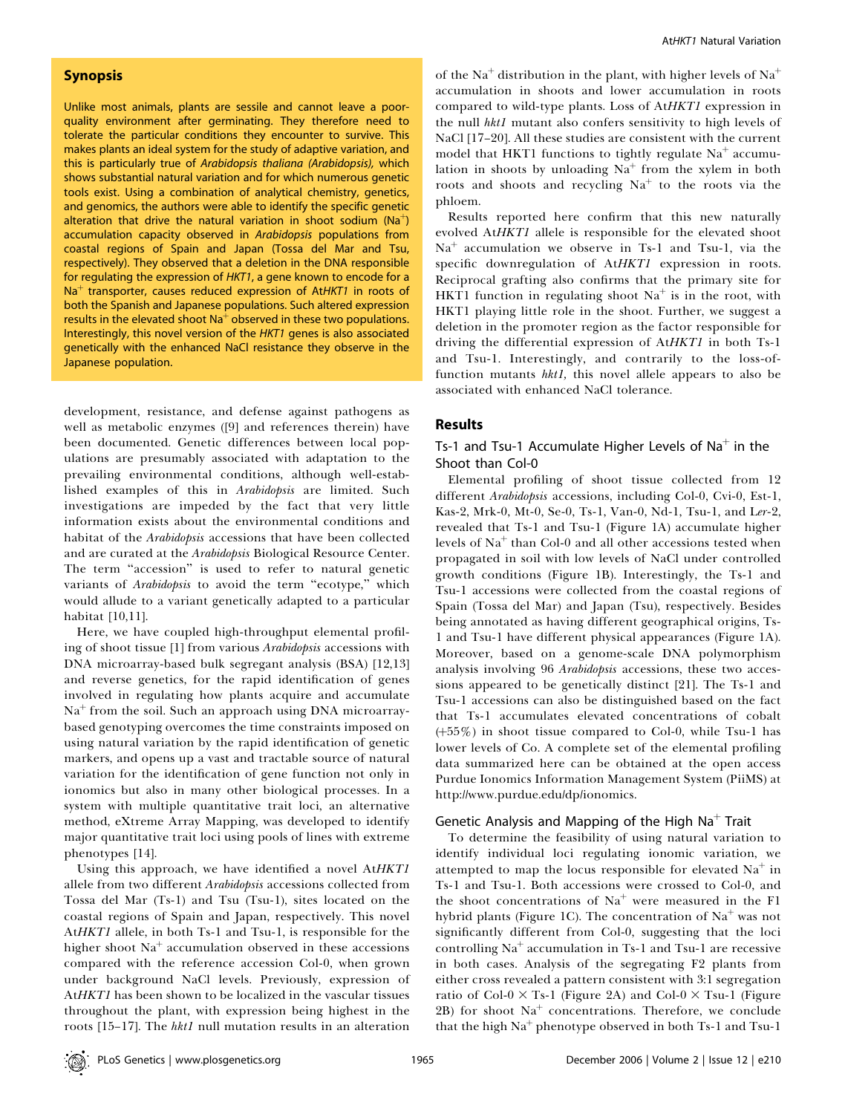## Synopsis

Unlike most animals, plants are sessile and cannot leave a poorquality environment after germinating. They therefore need to tolerate the particular conditions they encounter to survive. This makes plants an ideal system for the study of adaptive variation, and this is particularly true of Arabidopsis thaliana (Arabidopsis), which shows substantial natural variation and for which numerous genetic tools exist. Using a combination of analytical chemistry, genetics, and genomics, the authors were able to identify the specific genetic alteration that drive the natural variation in shoot sodium ( $Na<sup>+</sup>$ ) accumulation capacity observed in Arabidopsis populations from coastal regions of Spain and Japan (Tossa del Mar and Tsu, respectively). They observed that a deletion in the DNA responsible for regulating the expression of HKT1, a gene known to encode for a  $Na<sup>+</sup>$  transporter, causes reduced expression of AtHKT1 in roots of both the Spanish and Japanese populations. Such altered expression results in the elevated shoot  $Na<sup>+</sup>$  observed in these two populations. Interestingly, this novel version of the HKT1 genes is also associated genetically with the enhanced NaCl resistance they observe in the Japanese population.

development, resistance, and defense against pathogens as well as metabolic enzymes ([9] and references therein) have been documented. Genetic differences between local populations are presumably associated with adaptation to the prevailing environmental conditions, although well-established examples of this in Arabidopsis are limited. Such investigations are impeded by the fact that very little information exists about the environmental conditions and habitat of the Arabidopsis accessions that have been collected and are curated at the Arabidopsis Biological Resource Center. The term "accession" is used to refer to natural genetic variants of Arabidopsis to avoid the term "ecotype," which would allude to a variant genetically adapted to a particular habitat [10,11].

Here, we have coupled high-throughput elemental profiling of shoot tissue [1] from various Arabidopsis accessions with DNA microarray-based bulk segregant analysis (BSA) [12,13] and reverse genetics, for the rapid identification of genes involved in regulating how plants acquire and accumulate  $Na<sup>+</sup>$  from the soil. Such an approach using DNA microarraybased genotyping overcomes the time constraints imposed on using natural variation by the rapid identification of genetic markers, and opens up a vast and tractable source of natural variation for the identification of gene function not only in ionomics but also in many other biological processes. In a system with multiple quantitative trait loci, an alternative method, eXtreme Array Mapping, was developed to identify major quantitative trait loci using pools of lines with extreme phenotypes [14].

Using this approach, we have identified a novel AtHKT1 allele from two different Arabidopsis accessions collected from Tossa del Mar (Ts-1) and Tsu (Tsu-1), sites located on the coastal regions of Spain and Japan, respectively. This novel AtHKT1 allele, in both Ts-1 and Tsu-1, is responsible for the higher shoot  $Na<sup>+</sup>$  accumulation observed in these accessions compared with the reference accession Col-0, when grown under background NaCl levels. Previously, expression of AtHKT1 has been shown to be localized in the vascular tissues throughout the plant, with expression being highest in the roots [15–17]. The hkt1 null mutation results in an alteration of the Na<sup>+</sup> distribution in the plant, with higher levels of Na<sup>+</sup> accumulation in shoots and lower accumulation in roots compared to wild-type plants. Loss of AtHKT1 expression in the null hkt1 mutant also confers sensitivity to high levels of NaCl [17–20]. All these studies are consistent with the current model that HKT1 functions to tightly regulate  $Na<sup>+</sup>$  accumulation in shoots by unloading  $Na<sup>+</sup>$  from the xylem in both roots and shoots and recycling  $Na<sup>+</sup>$  to the roots via the phloem.

Results reported here confirm that this new naturally evolved AtHKT1 allele is responsible for the elevated shoot  $Na<sup>+</sup>$  accumulation we observe in Ts-1 and Tsu-1, via the specific downregulation of AtHKT1 expression in roots. Reciprocal grafting also confirms that the primary site for HKT1 function in regulating shoot  $Na<sup>+</sup>$  is in the root, with HKT1 playing little role in the shoot. Further, we suggest a deletion in the promoter region as the factor responsible for driving the differential expression of AtHKT1 in both Ts-1 and Tsu-1. Interestingly, and contrarily to the loss-offunction mutants hktl, this novel allele appears to also be associated with enhanced NaCl tolerance.

### Results

# Ts-1 and Tsu-1 Accumulate Higher Levels of Na<sup>+</sup> in the Shoot than Col-0

Elemental profiling of shoot tissue collected from 12 different *Arabidopsis* accessions, including Col-0, Cvi-0, Est-1, Kas-2, Mrk-0, Mt-0, Se-0, Ts-1, Van-0, Nd-1, Tsu-1, and Ler-2, revealed that Ts-1 and Tsu-1 (Figure 1A) accumulate higher levels of  $Na<sup>+</sup>$  than Col-0 and all other accessions tested when propagated in soil with low levels of NaCl under controlled growth conditions (Figure 1B). Interestingly, the Ts-1 and Tsu-1 accessions were collected from the coastal regions of Spain (Tossa del Mar) and Japan (Tsu), respectively. Besides being annotated as having different geographical origins, Ts-1 and Tsu-1 have different physical appearances (Figure 1A). Moreover, based on a genome-scale DNA polymorphism analysis involving 96 Arabidopsis accessions, these two accessions appeared to be genetically distinct [21]. The Ts-1 and Tsu-1 accessions can also be distinguished based on the fact that Ts-1 accumulates elevated concentrations of cobalt  $(+55%)$  in shoot tissue compared to Col-0, while Tsu-1 has lower levels of Co. A complete set of the elemental profiling data summarized here can be obtained at the open access Purdue Ionomics Information Management System (PiiMS) at http://www.purdue.edu/dp/ionomics.

# Genetic Analysis and Mapping of the High  $Na<sup>+</sup>$  Trait

To determine the feasibility of using natural variation to identify individual loci regulating ionomic variation, we attempted to map the locus responsible for elevated  $Na<sup>+</sup>$  in Ts-1 and Tsu-1. Both accessions were crossed to Col-0, and the shoot concentrations of  $Na<sup>+</sup>$  were measured in the F1 hybrid plants (Figure 1C). The concentration of  $Na<sup>+</sup>$  was not significantly different from Col-0, suggesting that the loci controlling  $Na<sup>+</sup>$  accumulation in Ts-1 and Tsu-1 are recessive in both cases. Analysis of the segregating F2 plants from either cross revealed a pattern consistent with 3:1 segregation ratio of Col-0  $\times$  Ts-1 (Figure 2A) and Col-0  $\times$  Tsu-1 (Figure 2B) for shoot  $Na<sup>+</sup>$  concentrations. Therefore, we conclude that the high  $Na<sup>+</sup>$  phenotype observed in both Ts-1 and Tsu-1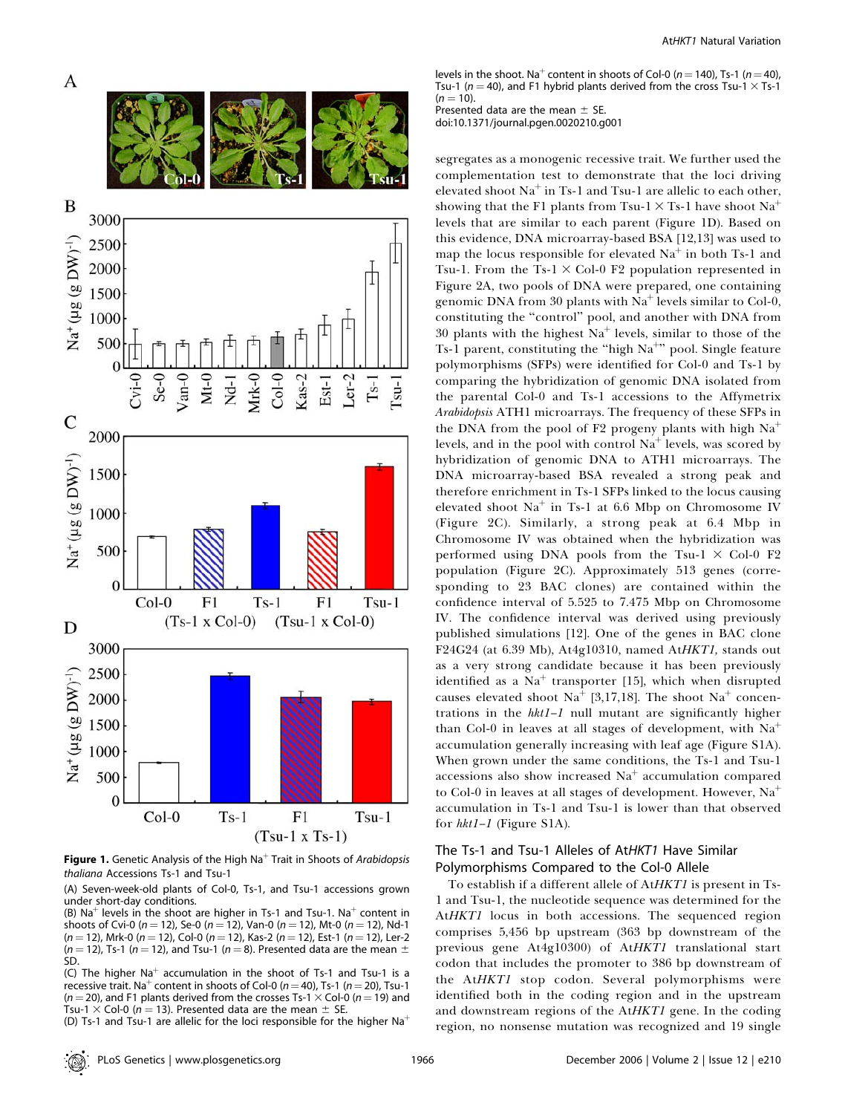

**Figure 1.** Genetic Analysis of the High Na<sup>+</sup> Trait in Shoots of Arabidopsis thaliana Accessions Ts-1 and Tsu-1

(A) Seven-week-old plants of Col-0, Ts-1, and Tsu-1 accessions grown under short-day conditions.

(B) Na<sup>+</sup> levels in the shoot are higher in Ts-1 and Tsu-1. Na<sup>+</sup> content in shoots of Cvi-0 ( $n = 12$ ), Se-0 ( $n = 12$ ), Van-0 ( $n = 12$ ), Mt-0 ( $n = 12$ ), Nd-1  $(n = 12)$ , Mrk-0  $(n = 12)$ , Col-0  $(n = 12)$ , Kas-2  $(n = 12)$ , Est-1  $(n = 12)$ , Ler-2  $(n = 12)$ , Ts-1 (n = 12), and Tsu-1 (n = 8). Presented data are the mean  $\pm$ SD.

(C) The higher Na<sup>+</sup> accumulation in the shoot of Ts-1 and Tsu-1 is a recessive trait. Na<sup>+</sup> content in shoots of Col-0 ( $n = 40$ ), Ts-1 ( $n = 20$ ), Tsu-1 ( $n = 20$ ), and F1 plants derived from the crosses Ts-1  $\times$  Col-0 ( $n = 19$ ) and Tsu-1  $\times$  Col-0 (n = 13). Presented data are the mean  $\pm$  SE.

(D) Ts-1 and Tsu-1 are allelic for the loci responsible for the higher  $Na<sup>+</sup>$ 

levels in the shoot. Na<sup>+</sup> content in shoots of Col-0 (n = 140), Ts-1 (n = 40), Tsu-1 ( $n = 40$ ), and F1 hybrid plants derived from the cross Tsu-1  $\times$  Ts-1  $(n = 10)$ .

Presented data are the mean  $\pm$  SE. doi:10.1371/journal.pgen.0020210.g001

segregates as a monogenic recessive trait. We further used the complementation test to demonstrate that the loci driving elevated shoot  $Na<sup>+</sup>$  in Ts-1 and Tsu-1 are allelic to each other, showing that the F1 plants from Tsu-1  $\times$  Ts-1 have shoot Na<sup>+</sup> levels that are similar to each parent (Figure 1D). Based on this evidence, DNA microarray-based BSA [12,13] was used to map the locus responsible for elevated  $Na<sup>+</sup>$  in both Ts-1 and Tsu-1. From the Ts-1  $\times$  Col-0 F2 population represented in Figure 2A, two pools of DNA were prepared, one containing genomic DNA from 30 plants with  $Na<sup>+</sup>$  levels similar to Col-0, constituting the ''control'' pool, and another with DNA from 30 plants with the highest  $Na<sup>+</sup>$  levels, similar to those of the Ts-1 parent, constituting the "high Na<sup>+</sup>" pool. Single feature polymorphisms (SFPs) were identified for Col-0 and Ts-1 by comparing the hybridization of genomic DNA isolated from the parental Col-0 and Ts-1 accessions to the Affymetrix Arabidopsis ATH1 microarrays. The frequency of these SFPs in the DNA from the pool of F2 progeny plants with high  $Na<sup>+</sup>$ levels, and in the pool with control  $Na<sup>+</sup>$  levels, was scored by hybridization of genomic DNA to ATH1 microarrays. The DNA microarray-based BSA revealed a strong peak and therefore enrichment in Ts-1 SFPs linked to the locus causing elevated shoot  $Na<sup>+</sup>$  in Ts-1 at 6.6 Mbp on Chromosome IV (Figure 2C). Similarly, a strong peak at 6.4 Mbp in Chromosome IV was obtained when the hybridization was performed using DNA pools from the Tsu-1  $\times$  Col-0 F2 population (Figure 2C). Approximately 513 genes (corresponding to 23 BAC clones) are contained within the confidence interval of 5.525 to 7.475 Mbp on Chromosome IV. The confidence interval was derived using previously published simulations [12]. One of the genes in BAC clone F24G24 (at 6.39 Mb), At4g10310, named AtHKT1, stands out as a very strong candidate because it has been previously identified as a  $Na<sup>+</sup>$  transporter [15], which when disrupted causes elevated shoot Na<sup>+</sup> [3,17,18]. The shoot Na<sup>+</sup> concentrations in the hkt1–1 null mutant are significantly higher than Col-0 in leaves at all stages of development, with  $Na<sup>+</sup>$ accumulation generally increasing with leaf age (Figure S1A). When grown under the same conditions, the Ts-1 and Tsu-1 accessions also show increased  $Na<sup>+</sup>$  accumulation compared to Col-0 in leaves at all stages of development. However,  $Na<sup>+</sup>$ accumulation in Ts-1 and Tsu-1 is lower than that observed for hkt1–1 (Figure S1A).

# The Ts-1 and Tsu-1 Alleles of AtHKT1 Have Similar Polymorphisms Compared to the Col-0 Allele

To establish if a different allele of AtHKT1 is present in Ts-1 and Tsu-1, the nucleotide sequence was determined for the AtHKT1 locus in both accessions. The sequenced region comprises 5,456 bp upstream (363 bp downstream of the previous gene At4g10300) of AtHKT1 translational start codon that includes the promoter to 386 bp downstream of the AtHKT1 stop codon. Several polymorphisms were identified both in the coding region and in the upstream and downstream regions of the AtHKT1 gene. In the coding region, no nonsense mutation was recognized and 19 single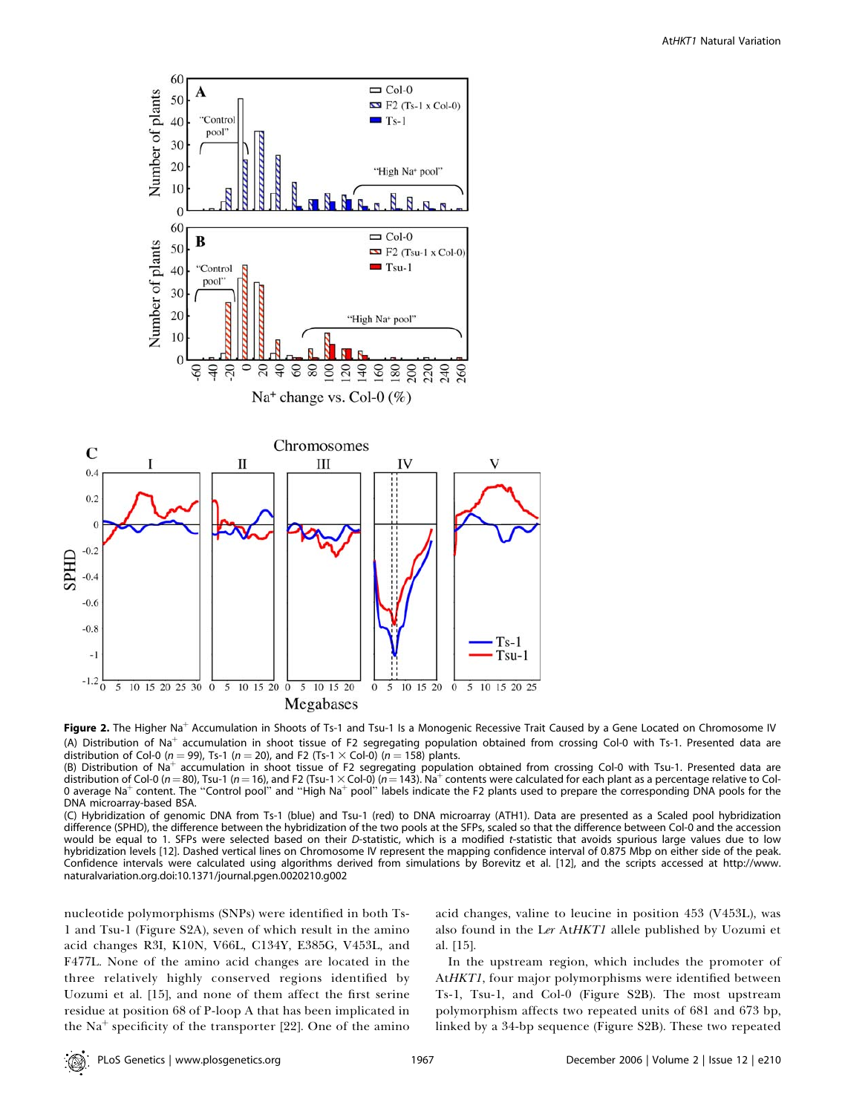

Figure 2. The Higher Na<sup>+</sup> Accumulation in Shoots of Ts-1 and Tsu-1 Is a Monogenic Recessive Trait Caused by a Gene Located on Chromosome IV (A) Distribution of Na<sup>+</sup> accumulation in shoot tissue of F2 segregating population obtained from crossing Col-0 with Ts-1. Presented data are distribution of Col-0 ( $n = 99$ ), Ts-1 ( $n = 20$ ), and F2 (Ts-1  $\times$  Col-0) ( $n = 158$ ) plants.

(B) Distribution of Na<sup>+</sup> accumulation in shoot tissue of F2 segregating population obtained from crossing Col-0 with Tsu-1. Presented data are distribution of Col-0 (n = 80), Tsu-1 (n = 16), and F2 (Tsu-1  $\times$  Col-0) (n = 143). Na $^+$  contents were calculated for each plant as a percentage relative to Col-0 average Na<sup>+</sup> content. The "Control pool" and "High Na<sup>+</sup> pool" labels indicate the F2 plants used to prepare the corresponding DNA pools for the DNA microarray-based BSA.

(C) Hybridization of genomic DNA from Ts-1 (blue) and Tsu-1 (red) to DNA microarray (ATH1). Data are presented as a Scaled pool hybridization difference (SPHD), the difference between the hybridization of the two pools at the SFPs, scaled so that the difference between Col-0 and the accession would be equal to 1. SFPs were selected based on their D-statistic, which is a modified t-statistic that avoids spurious large values due to low hybridization levels [12]. Dashed vertical lines on Chromosome IV represent the mapping confidence interval of 0.875 Mbp on either side of the peak. Confidence intervals were calculated using algorithms derived from simulations by Borevitz et al. [12], and the scripts accessed at http://www. naturalvariation.org.doi:10.1371/journal.pgen.0020210.g002

nucleotide polymorphisms (SNPs) were identified in both Ts-1 and Tsu-1 (Figure S2A), seven of which result in the amino acid changes R3I, K10N, V66L, C134Y, E385G, V453L, and F477L. None of the amino acid changes are located in the three relatively highly conserved regions identified by Uozumi et al. [15], and none of them affect the first serine residue at position 68 of P-loop A that has been implicated in the Na<sup>+</sup> specificity of the transporter [22]. One of the amino acid changes, valine to leucine in position 453 (V453L), was also found in the Ler AtHKT1 allele published by Uozumi et al. [15].

In the upstream region, which includes the promoter of AtHKT1, four major polymorphisms were identified between Ts-1, Tsu-1, and Col-0 (Figure S2B). The most upstream polymorphism affects two repeated units of 681 and 673 bp, linked by a 34-bp sequence (Figure S2B). These two repeated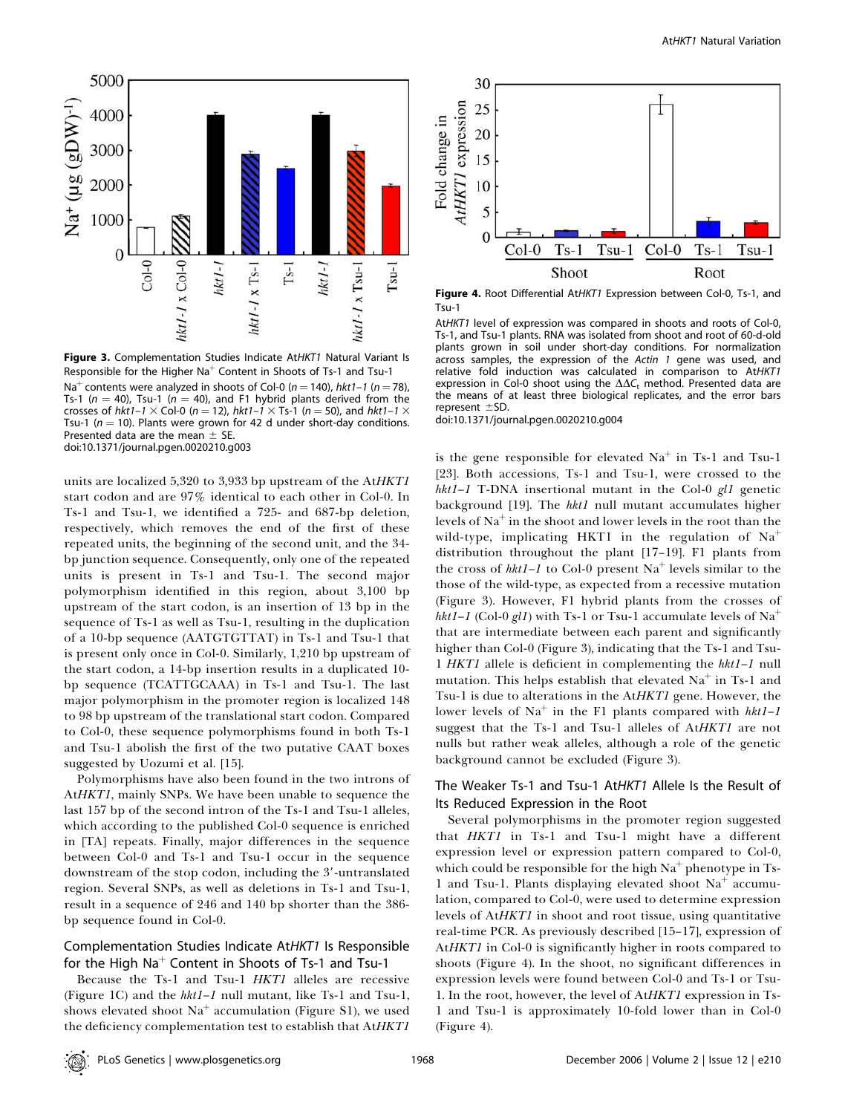

Figure 3. Complementation Studies Indicate AtHKT1 Natural Variant Is Responsible for the Higher Na<sup>+</sup> Content in Shoots of Ts-1 and Tsu-1 Na<sup>+</sup> contents were analyzed in shoots of Col-0 ( $n = 140$ ), hkt1–1 ( $n = 78$ ), Ts-1 ( $n = 40$ ), Tsu-1 ( $n = 40$ ), and F1 hybrid plants derived from the crosses of hkt1–1  $\times$  Col-0 (n = 12), hkt1–1  $\times$  Ts-1 (n = 50), and hkt1–1  $\times$ Tsu-1 ( $n = 10$ ). Plants were grown for 42 d under short-day conditions. Presented data are the mean  $\pm$  SE. doi:10.1371/journal.pgen.0020210.g003

units are localized 5,320 to 3,933 bp upstream of the AtHKT1 start codon and are 97% identical to each other in Col-0. In Ts-1 and Tsu-1, we identified a 725- and 687-bp deletion, respectively, which removes the end of the first of these repeated units, the beginning of the second unit, and the 34 bp junction sequence. Consequently, only one of the repeated units is present in Ts-1 and Tsu-1. The second major polymorphism identified in this region, about 3,100 bp upstream of the start codon, is an insertion of 13 bp in the sequence of Ts-1 as well as Tsu-1, resulting in the duplication of a 10-bp sequence (AATGTGTTAT) in Ts-1 and Tsu-1 that is present only once in Col-0. Similarly, 1,210 bp upstream of the start codon, a 14-bp insertion results in a duplicated 10 bp sequence (TCATTGCAAA) in Ts-1 and Tsu-1. The last major polymorphism in the promoter region is localized 148 to 98 bp upstream of the translational start codon. Compared to Col-0, these sequence polymorphisms found in both Ts-1 and Tsu-1 abolish the first of the two putative CAAT boxes suggested by Uozumi et al. [15].

Polymorphisms have also been found in the two introns of AtHKT1, mainly SNPs. We have been unable to sequence the last 157 bp of the second intron of the Ts-1 and Tsu-1 alleles, which according to the published Col-0 sequence is enriched in [TA] repeats. Finally, major differences in the sequence between Col-0 and Ts-1 and Tsu-1 occur in the sequence downstream of the stop codon, including the 3'-untranslated region. Several SNPs, as well as deletions in Ts-1 and Tsu-1, result in a sequence of 246 and 140 bp shorter than the 386 bp sequence found in Col-0.

# Complementation Studies Indicate AtHKT1 Is Responsible for the High  $Na<sup>+</sup>$  Content in Shoots of Ts-1 and Tsu-1

Because the Ts-1 and Tsu-1 HKT1 alleles are recessive (Figure 1C) and the  $hkt1-1$  null mutant, like Ts-1 and Tsu-1, shows elevated shoot  $Na<sup>+</sup>$  accumulation (Figure S1), we used the deficiency complementation test to establish that AtHKT1



Figure 4. Root Differential AtHKT1 Expression between Col-0, Ts-1, and Tsu-1

AtHKT1 level of expression was compared in shoots and roots of Col-0, Ts-1, and Tsu-1 plants. RNA was isolated from shoot and root of 60-d-old plants grown in soil under short-day conditions. For normalization across samples, the expression of the Actin 1 gene was used, and relative fold induction was calculated in comparison to AtHKT1 expression in Col-0 shoot using the  $\Delta\Delta C_t$  method. Presented data are the means of at least three biological replicates, and the error bars represent  $\pm$ SD.

doi:10.1371/journal.pgen.0020210.g004

is the gene responsible for elevated  $Na<sup>+</sup>$  in Ts-1 and Tsu-1 [23]. Both accessions, Ts-1 and Tsu-1, were crossed to the hkt1–1 T-DNA insertional mutant in the Col-0  $gl1$  genetic background [19]. The hkt1 null mutant accumulates higher levels of  $Na<sup>+</sup>$  in the shoot and lower levels in the root than the wild-type, implicating HKT1 in the regulation of  $Na<sup>+</sup>$ distribution throughout the plant [17–19]. F1 plants from the cross of  $hkt1-1$  to Col-0 present Na<sup>+</sup> levels similar to the those of the wild-type, as expected from a recessive mutation (Figure 3). However, F1 hybrid plants from the crosses of hkt1–1 (Col-0 gl1) with Ts-1 or Tsu-1 accumulate levels of Na<sup>+</sup> that are intermediate between each parent and significantly higher than Col-0 (Figure 3), indicating that the Ts-1 and Tsu-1 HKT1 allele is deficient in complementing the hkt1–1 null mutation. This helps establish that elevated  $Na<sup>+</sup>$  in Ts-1 and Tsu-1 is due to alterations in the AtHKT1 gene. However, the lower levels of Na<sup>+</sup> in the F1 plants compared with  $hkt1-I$ suggest that the Ts-1 and Tsu-1 alleles of AtHKT1 are not nulls but rather weak alleles, although a role of the genetic background cannot be excluded (Figure 3).

# The Weaker Ts-1 and Tsu-1 AtHKT1 Allele Is the Result of Its Reduced Expression in the Root

Several polymorphisms in the promoter region suggested that HKT1 in Ts-1 and Tsu-1 might have a different expression level or expression pattern compared to Col-0, which could be responsible for the high  $Na<sup>+</sup>$  phenotype in Ts-1 and Tsu-1. Plants displaying elevated shoot  $Na<sup>+</sup>$  accumulation, compared to Col-0, were used to determine expression levels of AtHKT1 in shoot and root tissue, using quantitative real-time PCR. As previously described [15–17], expression of AtHKT1 in Col-0 is significantly higher in roots compared to shoots (Figure 4). In the shoot, no significant differences in expression levels were found between Col-0 and Ts-1 or Tsu-1. In the root, however, the level of AtHKT1 expression in Ts-1 and Tsu-1 is approximately 10-fold lower than in Col-0 (Figure 4).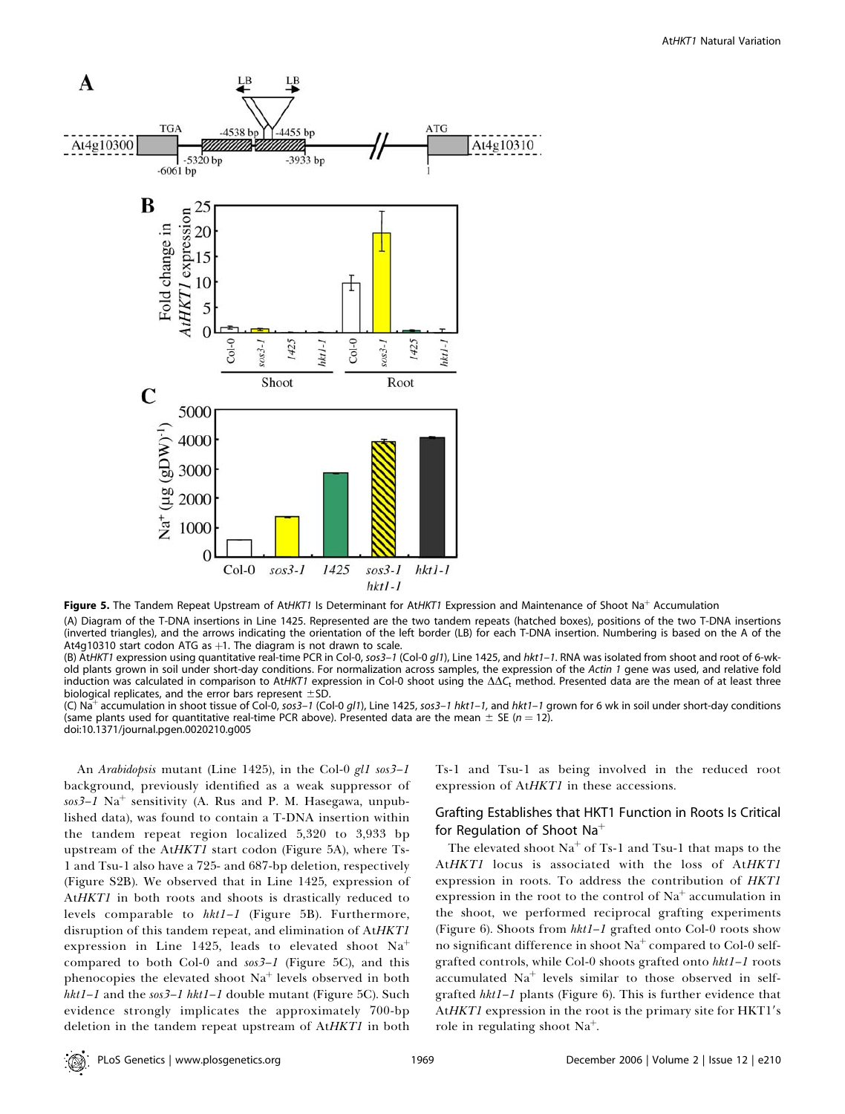

Figure 5. The Tandem Repeat Upstream of AtHKT1 Is Determinant for AtHKT1 Expression and Maintenance of Shoot Na<sup>+</sup> Accumulation

(A) Diagram of the T-DNA insertions in Line 1425. Represented are the two tandem repeats (hatched boxes), positions of the two T-DNA insertions (inverted triangles), and the arrows indicating the orientation of the left border (LB) for each T-DNA insertion. Numbering is based on the A of the At4g10310 start codon ATG as  $+1$ . The diagram is not drawn to scale.

(B) AtHKT1 expression using quantitative real-time PCR in Col-0, sos3-1 (Col-0 gl1), Line 1425, and hkt1-1. RNA was isolated from shoot and root of 6-wkold plants grown in soil under short-day conditions. For normalization across samples, the expression of the Actin 1 gene was used, and relative fold induction was calculated in comparison to AtHKT1 expression in Col-0 shoot using the  $\Delta\Delta C_t$  method. Presented data are the mean of at least three biological replicates, and the error bars represent  $\pm$ SD.

(C) Na<sup>+</sup> accumulation in shoot tissue of Col-0, sos3–1 (Col-0 gl1), Line 1425, sos3–1 hkt1–1, and hkt1–1 grown for 6 wk in soil under short-day conditions (same plants used for quantitative real-time PCR above). Presented data are the mean  $\pm$  SE (n = 12). doi:10.1371/journal.pgen.0020210.g005

An Arabidopsis mutant (Line 1425), in the Col-0 gl1 sos3-1 background, previously identified as a weak suppressor of  $sos3-1$  Na<sup>+</sup> sensitivity (A. Rus and P. M. Hasegawa, unpublished data), was found to contain a T-DNA insertion within the tandem repeat region localized 5,320 to 3,933 bp upstream of the AtHKT1 start codon (Figure 5A), where Ts-1 and Tsu-1 also have a 725- and 687-bp deletion, respectively (Figure S2B). We observed that in Line 1425, expression of AtHKT1 in both roots and shoots is drastically reduced to levels comparable to hkt1–1 (Figure 5B). Furthermore, disruption of this tandem repeat, and elimination of AtHKT1 expression in Line 1425, leads to elevated shoot  $Na<sup>+</sup>$ compared to both Col-0 and sos3–1 (Figure 5C), and this phenocopies the elevated shoot  $Na<sup>+</sup>$  levels observed in both  $hkt1-1$  and the sos $3-1$   $hkt1-1$  double mutant (Figure 5C). Such evidence strongly implicates the approximately 700-bp deletion in the tandem repeat upstream of AtHKT1 in both

Ts-1 and Tsu-1 as being involved in the reduced root expression of AtHKT1 in these accessions.

# Grafting Establishes that HKT1 Function in Roots Is Critical for Regulation of Shoot Na<sup>+</sup>

The elevated shoot  $Na<sup>+</sup>$  of Ts-1 and Tsu-1 that maps to the AtHKT1 locus is associated with the loss of AtHKT1 expression in roots. To address the contribution of HKT1 expression in the root to the control of  $Na<sup>+</sup>$  accumulation in the shoot, we performed reciprocal grafting experiments (Figure 6). Shoots from hkt1–1 grafted onto Col-0 roots show no significant difference in shoot  $Na<sup>+</sup>$  compared to Col-0 selfgrafted controls, while Col-0 shoots grafted onto hkt1–1 roots accumulated  $Na<sup>+</sup>$  levels similar to those observed in selfgrafted hkt1–1 plants (Figure 6). This is further evidence that AtHKT1 expression in the root is the primary site for HKT1's role in regulating shoot  $Na<sup>+</sup>$ .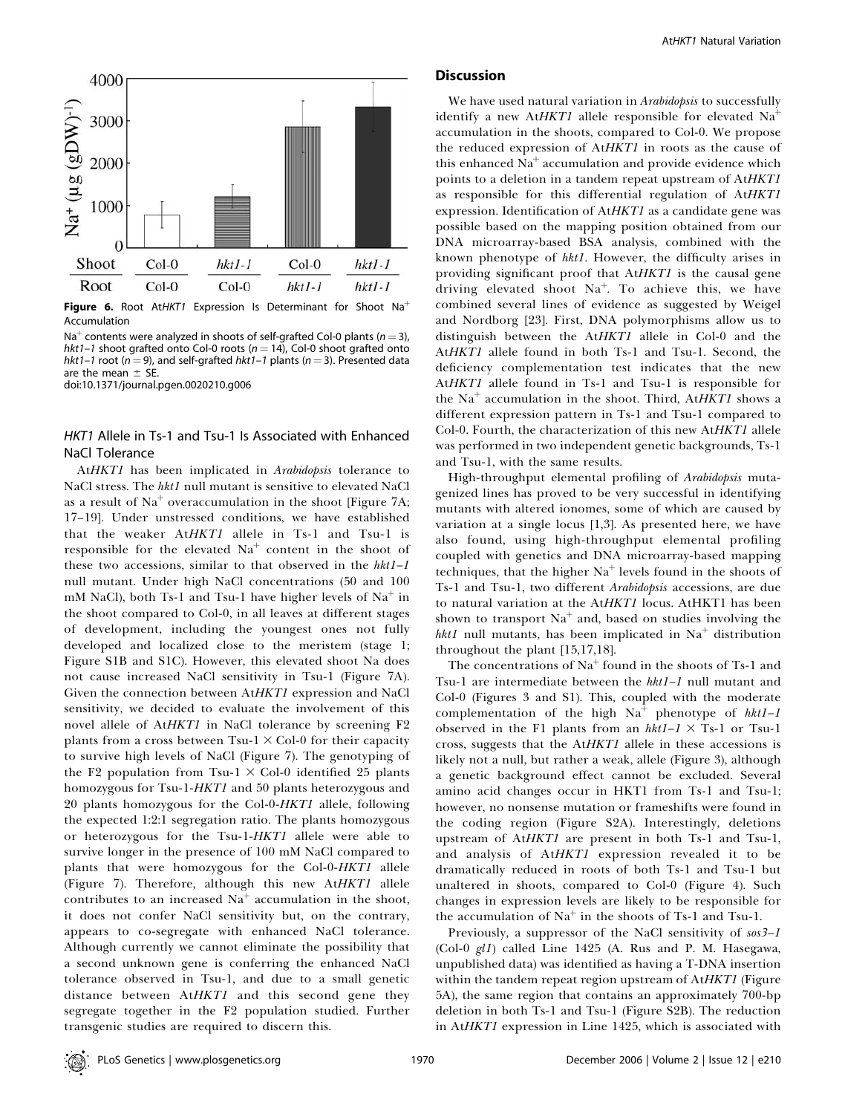

Figure 6. Root AtHKT1 Expression Is Determinant for Shoot Na<sup>+</sup> Accumulation

Na<sup>+</sup> contents were analyzed in shoots of self-grafted Col-0 plants ( $n = 3$ ), hkt1–1 shoot grafted onto Col-0 roots ( $n = 14$ ), Col-0 shoot grafted onto hkt1–1 root ( $n = 9$ ), and self-grafted hkt1–1 plants ( $n = 3$ ). Presented data are the mean  $\pm$  SE.

doi:10.1371/journal.pgen.0020210.g006

# HKT1 Allele in Ts-1 and Tsu-1 Is Associated with Enhanced NaCl Tolerance

AtHKT1 has been implicated in Arabidopsis tolerance to NaCl stress. The hkt1 null mutant is sensitive to elevated NaCl as a result of  $Na<sup>+</sup> overaccumulation$  in the shoot [Figure 7A; 17–19]. Under unstressed conditions, we have established that the weaker AtHKT1 allele in Ts-1 and Tsu-1 is responsible for the elevated  $Na<sup>+</sup>$  content in the shoot of these two accessions, similar to that observed in the  $hkt1-1$ null mutant. Under high NaCl concentrations (50 and 100 mM NaCl), both Ts-1 and Tsu-1 have higher levels of  $Na<sup>+</sup>$  in the shoot compared to Col-0, in all leaves at different stages of development, including the youngest ones not fully developed and localized close to the meristem (stage 1; Figure S1B and S1C). However, this elevated shoot Na does not cause increased NaCl sensitivity in Tsu-1 (Figure 7A). Given the connection between AtHKT1 expression and NaCl sensitivity, we decided to evaluate the involvement of this novel allele of AtHKT1 in NaCl tolerance by screening F2 plants from a cross between  $Tsu-1 \times Col-0$  for their capacity to survive high levels of NaCl (Figure 7). The genotyping of the F2 population from Tsu-1  $\times$  Col-0 identified 25 plants homozygous for Tsu-1-HKT1 and 50 plants heterozygous and 20 plants homozygous for the Col-0-HKT1 allele, following the expected 1:2:1 segregation ratio. The plants homozygous or heterozygous for the Tsu-1-HKT1 allele were able to survive longer in the presence of 100 mM NaCl compared to plants that were homozygous for the Col-0-HKT1 allele (Figure 7). Therefore, although this new AtHKT1 allele contributes to an increased  $Na<sup>+</sup>$  accumulation in the shoot, it does not confer NaCl sensitivity but, on the contrary, appears to co-segregate with enhanced NaCl tolerance. Although currently we cannot eliminate the possibility that a second unknown gene is conferring the enhanced NaCl tolerance observed in Tsu-1, and due to a small genetic distance between AtHKT1 and this second gene they segregate together in the F2 population studied. Further transgenic studies are required to discern this.

#### **Discussion**

We have used natural variation in Arabidopsis to successfully identify a new AtHKT1 allele responsible for elevated  $Na<sup>+</sup>$ accumulation in the shoots, compared to Col-0. We propose the reduced expression of AtHKT1 in roots as the cause of this enhanced  $Na<sup>+</sup>$  accumulation and provide evidence which points to a deletion in a tandem repeat upstream of AtHKT1 as responsible for this differential regulation of AtHKT1 expression. Identification of AtHKT1 as a candidate gene was possible based on the mapping position obtained from our DNA microarray-based BSA analysis, combined with the known phenotype of hkt1. However, the difficulty arises in providing significant proof that AtHKT1 is the causal gene driving elevated shoot  $Na<sup>+</sup>$ . To achieve this, we have combined several lines of evidence as suggested by Weigel and Nordborg [23]. First, DNA polymorphisms allow us to distinguish between the AtHKT1 allele in Col-0 and the AtHKT1 allele found in both Ts-1 and Tsu-1. Second, the deficiency complementation test indicates that the new AtHKT1 allele found in Ts-1 and Tsu-1 is responsible for the  $Na<sup>+</sup>$  accumulation in the shoot. Third, AtHKT1 shows a different expression pattern in Ts-1 and Tsu-1 compared to Col-0. Fourth, the characterization of this new AtHKT1 allele was performed in two independent genetic backgrounds, Ts-1 and Tsu-1, with the same results.

High-throughput elemental profiling of Arabidopsis mutagenized lines has proved to be very successful in identifying mutants with altered ionomes, some of which are caused by variation at a single locus [1,3]. As presented here, we have also found, using high-throughput elemental profiling coupled with genetics and DNA microarray-based mapping techniques, that the higher  $Na<sup>+</sup>$  levels found in the shoots of Ts-1 and Tsu-1, two different Arabidopsis accessions, are due to natural variation at the AtHKT1 locus. AtHKT1 has been shown to transport  $Na<sup>+</sup>$  and, based on studies involving the hkt1 null mutants, has been implicated in  $Na<sup>+</sup>$  distribution throughout the plant [15,17,18].

The concentrations of  $Na<sup>+</sup>$  found in the shoots of Ts-1 and Tsu-1 are intermediate between the hkt1–1 null mutant and Col-0 (Figures 3 and S1). This, coupled with the moderate complementation of the high  $Na<sup>+</sup>$  phenotype of  $hkt1-I$ observed in the F1 plants from an  $hkt1-I \times Ts-1$  or Tsu-1 cross, suggests that the AtHKT1 allele in these accessions is likely not a null, but rather a weak, allele (Figure 3), although a genetic background effect cannot be excluded. Several amino acid changes occur in HKT1 from Ts-1 and Tsu-1; however, no nonsense mutation or frameshifts were found in the coding region (Figure S2A). Interestingly, deletions upstream of AtHKT1 are present in both Ts-1 and Tsu-1, and analysis of AtHKT1 expression revealed it to be dramatically reduced in roots of both Ts-1 and Tsu-1 but unaltered in shoots, compared to Col-0 (Figure 4). Such changes in expression levels are likely to be responsible for the accumulation of  $Na<sup>+</sup>$  in the shoots of Ts-1 and Tsu-1.

Previously, a suppressor of the NaCl sensitivity of  $sos3-1$ (Col-0 gl1) called Line 1425 (A. Rus and P. M. Hasegawa, unpublished data) was identified as having a T-DNA insertion within the tandem repeat region upstream of AtHKT1 (Figure 5A), the same region that contains an approximately 700-bp deletion in both Ts-1 and Tsu-1 (Figure S2B). The reduction in AtHKT1 expression in Line 1425, which is associated with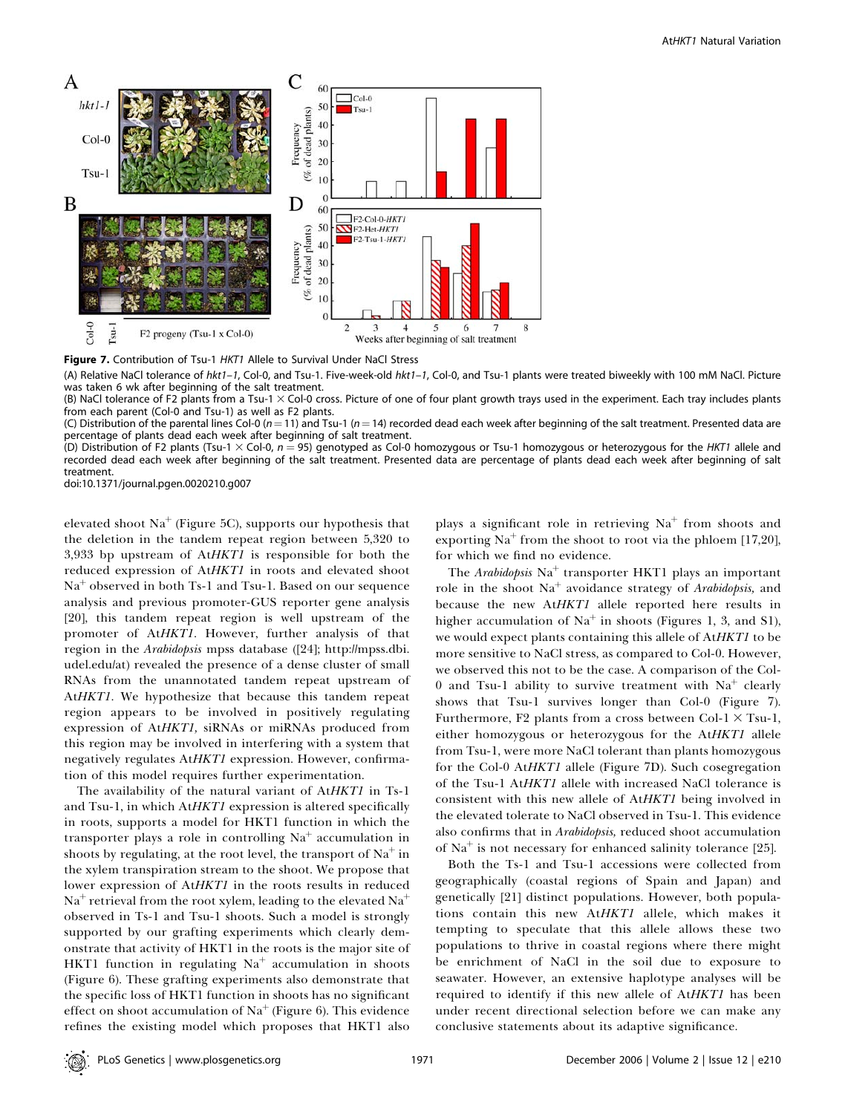

Figure 7. Contribution of Tsu-1 HKT1 Allele to Survival Under NaCl Stress

(A) Relative NaCl tolerance of hkt1-1, Col-0, and Tsu-1. Five-week-old hkt1-1, Col-0, and Tsu-1 plants were treated biweekly with 100 mM NaCl. Picture was taken 6 wk after beginning of the salt treatment.

(B) NaCl tolerance of F2 plants from a Tsu-1  $\times$  Col-0 cross. Picture of one of four plant growth trays used in the experiment. Each tray includes plants from each parent (Col-0 and Tsu-1) as well as F2 plants.

(C) Distribution of the parental lines Col-0 (n = 11) and Tsu-1 (n = 14) recorded dead each week after beginning of the salt treatment. Presented data are percentage of plants dead each week after beginning of salt treatment.

(D) Distribution of F2 plants (Tsu-1  $\times$  Col-0, n = 95) genotyped as Col-0 homozygous or Tsu-1 homozygous or heterozygous for the HKT1 allele and recorded dead each week after beginning of the salt treatment. Presented data are percentage of plants dead each week after beginning of salt treatment.

doi:10.1371/journal.pgen.0020210.g007

elevated shoot  $Na<sup>+</sup>$  (Figure 5C), supports our hypothesis that the deletion in the tandem repeat region between 5,320 to 3,933 bp upstream of AtHKT1 is responsible for both the reduced expression of AtHKT1 in roots and elevated shoot  $Na<sup>+</sup>$  observed in both Ts-1 and Tsu-1. Based on our sequence analysis and previous promoter-GUS reporter gene analysis [20], this tandem repeat region is well upstream of the promoter of AtHKT1. However, further analysis of that region in the Arabidopsis mpss database ([24]; http://mpss.dbi. udel.edu/at) revealed the presence of a dense cluster of small RNAs from the unannotated tandem repeat upstream of At*HKT1*. We hypothesize that because this tandem repeat region appears to be involved in positively regulating expression of AtHKT1, siRNAs or miRNAs produced from this region may be involved in interfering with a system that negatively regulates AtHKT1 expression. However, confirmation of this model requires further experimentation.

The availability of the natural variant of AtHKT1 in Ts-1 and Tsu-1, in which AtHKT1 expression is altered specifically in roots, supports a model for HKT1 function in which the transporter plays a role in controlling  $Na<sup>+</sup>$  accumulation in shoots by regulating, at the root level, the transport of  $Na<sup>+</sup>$  in the xylem transpiration stream to the shoot. We propose that lower expression of AtHKT1 in the roots results in reduced  $Na<sup>+</sup>$  retrieval from the root xylem, leading to the elevated  $Na<sup>+</sup>$ observed in Ts-1 and Tsu-1 shoots. Such a model is strongly supported by our grafting experiments which clearly demonstrate that activity of HKT1 in the roots is the major site of HKT1 function in regulating  $Na<sup>+</sup>$  accumulation in shoots (Figure 6). These grafting experiments also demonstrate that the specific loss of HKT1 function in shoots has no significant effect on shoot accumulation of  $Na<sup>+</sup>$  (Figure 6). This evidence refines the existing model which proposes that HKT1 also

plays a significant role in retrieving  $Na<sup>+</sup>$  from shoots and exporting  $Na<sup>+</sup>$  from the shoot to root via the phloem [17,20], for which we find no evidence.

The Arabidopsis  $Na<sup>+</sup>$  transporter HKT1 plays an important role in the shoot  $Na<sup>+</sup>$  avoidance strategy of Arabidopsis, and because the new AtHKT1 allele reported here results in higher accumulation of  $Na<sup>+</sup>$  in shoots (Figures 1, 3, and S1), we would expect plants containing this allele of AtHKT1 to be more sensitive to NaCl stress, as compared to Col-0. However, we observed this not to be the case. A comparison of the Col-0 and Tsu-1 ability to survive treatment with  $Na<sup>+</sup>$  clearly shows that Tsu-1 survives longer than Col-0 (Figure 7). Furthermore, F2 plants from a cross between Col-1  $\times$  Tsu-1, either homozygous or heterozygous for the AtHKT1 allele from Tsu-1, were more NaCl tolerant than plants homozygous for the Col-0 AtHKT1 allele (Figure 7D). Such cosegregation of the Tsu-1 AtHKT1 allele with increased NaCl tolerance is consistent with this new allele of AtHKT1 being involved in the elevated tolerate to NaCl observed in Tsu-1. This evidence also confirms that in Arabidopsis, reduced shoot accumulation of  $Na<sup>+</sup>$  is not necessary for enhanced salinity tolerance [25].

Both the Ts-1 and Tsu-1 accessions were collected from geographically (coastal regions of Spain and Japan) and genetically [21] distinct populations. However, both populations contain this new AtHKT1 allele, which makes it tempting to speculate that this allele allows these two populations to thrive in coastal regions where there might be enrichment of NaCl in the soil due to exposure to seawater. However, an extensive haplotype analyses will be required to identify if this new allele of AtHKT1 has been under recent directional selection before we can make any conclusive statements about its adaptive significance.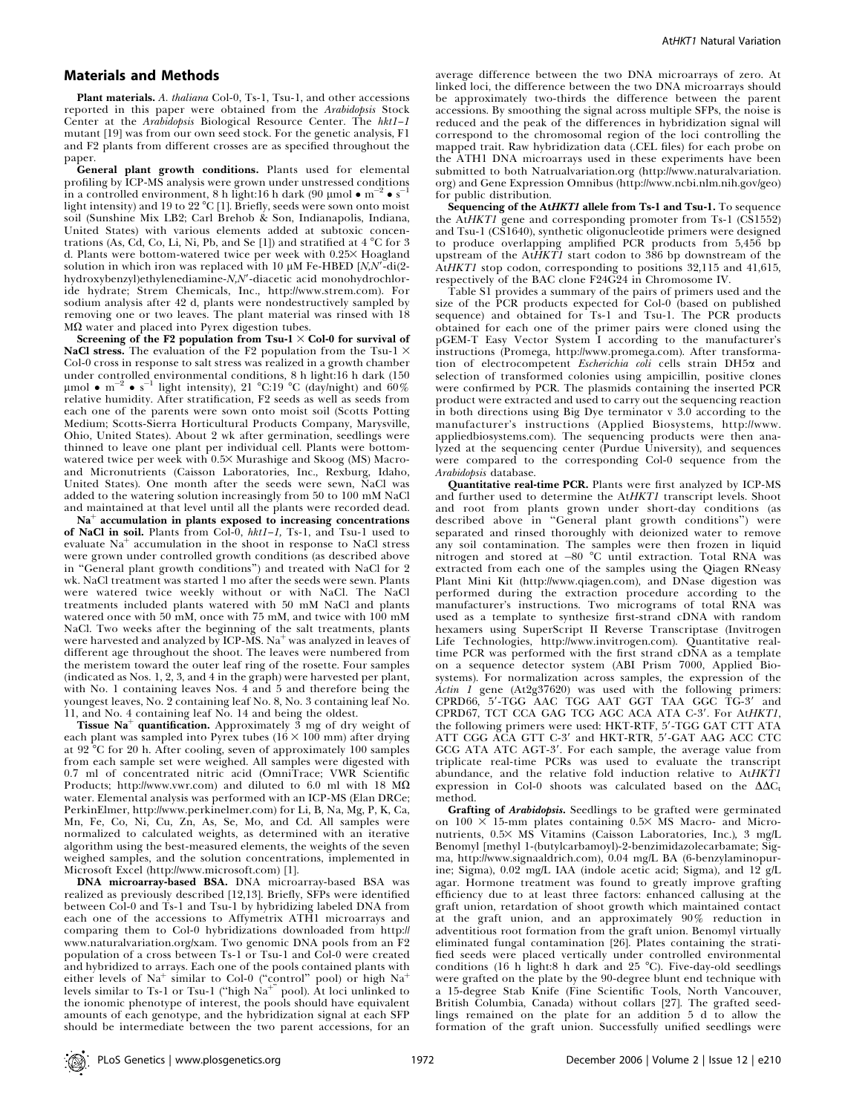### Materials and Methods

Plant materials. A. thaliana Col-0, Ts-1, Tsu-1, and other accessions reported in this paper were obtained from the Arabidopsis Stock Center at the Arabidopsis Biological Resource Center. The hkt1-1 mutant  $[19]$  was from our own seed stock. For the genetic analysis, F1 and F2 plants from different crosses are as specified throughout the paper.

General plant growth conditions. Plants used for elemental profiling by  $ICP\text{-}M\check{S}$  analysis were grown under unstressed conditions in a controlled environment, 8 h light:16 h dark (90 µmol  $\bullet$  m $^{-2}$   $\bullet$  s $^{-1}$ 1 light intensity) and 19 to 22 °C [1]. Briefly, seeds were sown onto moist soil (Sunshine Mix LB2; Carl Brehob & Son, Indianapolis, Indiana, United States) with various elements added at subtoxic concentrations (As, Cd, Co, Li, Ni, Pb, and Se [1]) and stratified at 4  $^{\circ}$ C for 3 d. Plants were bottom-watered twice per week with 0.25X Hoagland solution in which iron was replaced with 10  $\mu$ M Fe-HBED [N,N'-di(2hydroxybenzyl)ethylenediamine-N,N'-diacetic acid monohydrochloride hydrate; Strem Chemicals, Inc., http://www.strem.com). For sodium analysis after 42 d, plants were nondestructively sampled by removing one or two leaves. The plant material was rinsed with 18  $M\Omega$  water and placed into Pyrex digestion tubes.

Screening of the F2 population from Tsu-1  $\times$  Col-0 for survival of NaCl stress. The evaluation of the F2 population from the Tsu-1  $\times$ Col-0 cross in response to salt stress was realized in a growth chamber under controlled environmental conditions, 8 h light:16 h dark (150 µmol •  $\mathrm{m}^{-2}$  •  $\mathrm{s}^{-1}$  light intensity), 21 °C:19 °C (day/night) and 60% relative humidity. After stratification, F2 seeds as well as seeds from each one of the parents were sown onto moist soil (Scotts Potting Medium; Scotts-Sierra Horticultural Products Company, Marysville, Ohio, United States). About 2 wk after germination, seedlings were thinned to leave one plant per individual cell. Plants were bottomwatered twice per week with 0.53 Murashige and Skoog (MS) Macroand Micronutrients (Caisson Laboratories, Inc., Rexburg, Idaho, United States). One month after the seeds were sewn, NaCl was added to the watering solution increasingly from 50 to 100 mM NaCl and maintained at that level until all the plants were recorded dead.

 $Na<sup>+</sup>$  accumulation in plants exposed to increasing concentrations of NaCl in soil. Plants from Col-0, hkt1–1, Ts-1, and Tsu-1 used to evaluate  $Na<sup>+</sup>$  accumulation in the shoot in response to NaCl stress were grown under controlled growth conditions (as described above in ''General plant growth conditions'') and treated with NaCl for 2 wk. NaCl treatment was started 1 mo after the seeds were sewn. Plants were watered twice weekly without or with NaCl. The NaCl treatments included plants watered with 50 mM NaCl and plants watered once with 50 mM, once with 75 mM, and twice with  $100 \text{ mM}$ NaCl. Two weeks after the beginning of the salt treatments, plants were harvested and analyzed by ICP-MS. Na $^+$  was analyzed in leaves of different age throughout the shoot. The leaves were numbered from the meristem toward the outer leaf ring of the rosette. Four samples (indicated as Nos. 1, 2, 3, and 4 in the graph) were harvested per plant, with No. 1 containing leaves Nos. 4 and 5 and therefore being the youngest leaves, No. 2 containing leaf No. 8, No. 3 containing leaf No. 11, and No. 4 containing leaf No. 14 and being the oldest.

Tissue  $\text{Na}^+$  quantification. Approximately  $\bar{3}$  mg of dry weight of each plant was sampled into Pyrex tubes  $(16 \times 100 \text{ mm})$  after drying at  $92^{\circ}$ C for 20 h. After cooling, seven of approximately 100 samples from each sample set were weighed. All samples were digested with 0.7 ml of concentrated nitric acid (OmniTrace; VWR Scientific Products; http://www.vwr.com) and diluted to 6.0 ml with 18  $\text{M}\Omega$ water. Elemental analysis was performed with an ICP-MS (Elan DRCe; PerkinElmer, http://www.perkinelmer.com) for Li, B, Na, Mg, P, K, Ca, Mn, Fe, Co, Ni, Cu, Zn, As, Se, Mo, and Cd. All samples were normalized to calculated weights, as determined with an iterative algorithm using the best-measured elements, the weights of the seven weighed samples, and the solution concentrations, implemented in Microsoft Excel (http://www.microsoft.com) [1].

DNA microarray-based BSA. DNA microarray-based BSA was realized as previously described [12,13]. Briefly, SFPs were identified between Col-0 and Ts-1 and Tsu-1 by hybridizing labeled DNA from each one of the accessions to Affymetrix ATH1 microarrays and comparing them to Col-0 hybridizations downloaded from http:// www.naturalvariation.org/xam. Two genomic DNA pools from an F2 population of a cross between Ts-1 or Tsu-1 and Col-0 were created and hybridized to arrays. Each one of the pools contained plants with either levels of Na<sup>+</sup> similar to Col-0 ("control" pool) or high Na<sup>+</sup> levels similar to Ts-1 or Tsu-1 ("high  $\mathrm{Na^{+}}$ " pool). At loci unlinked to the ionomic phenotype of interest, the pools should have equivalent amounts of each genotype, and the hybridization signal at each SFP should be intermediate between the two parent accessions, for an

average difference between the two DNA microarrays of zero. At linked loci, the difference between the two DNA microarrays should be approximately two-thirds the difference between the parent accessions. By smoothing the signal across multiple SFPs, the noise is reduced and the peak of the differences in hybridization signal will correspond to the chromosomal region of the loci controlling the mapped trait. Raw hybridization data (.CEL files) for each probe on the ATH1 DNA microarrays used in these experiments have been submitted to both Natrualvariation.org (http://www.naturalvariation. org) and Gene Expression Omnibus (http://www.ncbi.nlm.nih.gov/geo) for public distribution.

Sequencing of the AtHKT1 allele from Ts-1 and Tsu-1. To sequence the AtHKT1 gene and corresponding promoter from Ts-1 (CS1552) and Tsu-1 (CS1640), synthetic oligonucleotide primers were designed to produce overlapping amplified PCR products from 5,456 bp upstream of the AtHKT1 start codon to  $386$  bp downstream of the AtHKT1 stop codon, corresponding to positions 32,115 and 41,615, respectively of the BAC clone F24G24 in Chromosome IV.

Table S1 provides a summary of the pairs of primers used and the size of the PCR products expected for Col-0 (based on published sequence) and obtained for Ts-1 and Tsu-1. The PCR products obtained for each one of the primer pairs were cloned using the pGEM-T Easy Vector System I according to the manufacturer's instructions (Promega, http://www.promega.com). After transformation of electrocompetent Escherichia coli cells strain DH5a and selection of transformed colonies using ampicillin, positive clones were confirmed by PCR. The plasmids containing the inserted PCR product were extracted and used to carry out the sequencing reaction in both directions using Big Dye terminator v 3.0 according to the manufacturer's instructions (Applied Biosystems, http://www. appliedbiosystems.com). The sequencing products were then analyzed at the sequencing center (Purdue University), and sequences were compared to the corresponding Col-0 sequence from the Arabidopsis database.

Quantitative real-time PCR. Plants were first analyzed by ICP-MS and further used to determine the AtHKT1 transcript levels. Shoot and root from plants grown under short-day conditions (as described above in ''General plant growth conditions'') were separated and rinsed thoroughly with deionized water to remove any soil contamination. The samples were then frozen in liquid nitrogen and stored at -80 °C until extraction. Total RNA was extracted from each one of the samples using the Qiagen RNeasy Plant Mini Kit (http://www.qiagen.com), and DNase digestion was performed during the extraction procedure according to the manufacturer's instructions. Two micrograms of total RNA was used as a template to synthesize first-strand cDNA with random hexamers using SuperScript II Reverse Transcriptase (Invitrogen Life Technologies, http://www.invitrogen.com). Quantitative realtime PCR was performed with the first strand cDNA as a template on a sequence detector system (ABI Prism 7000, Applied Biosystems). For normalization across samples, the expression of the Actin 1 gene (At2g37620) was used with the following primers:  $CPRDS6$ ,  $5'$ -TGG AAC TGG AAT GGT TAA GGC TG- $3'$  and CPRD67, TCT CCA GAG TCG AGC ACA ATA C-3'. For AtHKT1, the following primers were used: HKT-RTF, 5'-TGG GAT CTT ATA ATT CGG ACA GTT C-3' and HKT-RTR, 5'-GAT AAG ACC CTC GCG ATA ATC AGT-3'. For each sample, the average value from triplicate real-time PCRs was used to evaluate the transcript abundance, and the relative fold induction relative to AtHKT1 expression in Col-0 shoots was calculated based on the  $\Delta\Delta C_t$ method.

Grafting of Arabidopsis. Seedlings to be grafted were germinated on  $100 \times 15$ -mm plates containing  $0.5 \times$  MS Macro- and Micronutrients, 0.5× MS Vitamins (Caisson Laboratories, Inc.), 3 mg/L Benomyl [methyl 1-(butylcarbamoyl)-2-benzimidazolecarbamate; Sigma, http://www.signaaldrich.com), 0.04 mg/L BA (6-benzylaminopurine; Sigma), 0.02 mg/L IAA (indole acetic acid; Sigma), and 12 g/L agar. Hormone treatment was found to greatly improve grafting efficiency due to at least three factors: enhanced callusing at the graft union, retardation of shoot growth which maintained contact at the graft union, and an approximately 90% reduction in adventitious root formation from the graft union. Benomyl virtually eliminated fungal contamination [26]. Plates containing the stratified seeds were placed vertically under controlled environmental conditions (16 h light:8 h dark and 25  $^{\circ}$ C). Five-day-old seedlings were grafted on the plate by the 90-degree blunt end technique with a 15-degree Stab Knife (Fine Scientific Tools, North Vancouver, British Columbia, Canada) without collars [27]. The grafted seedlings remained on the plate for an addition 5 d to allow the formation of the graft union. Successfully unified seedlings were